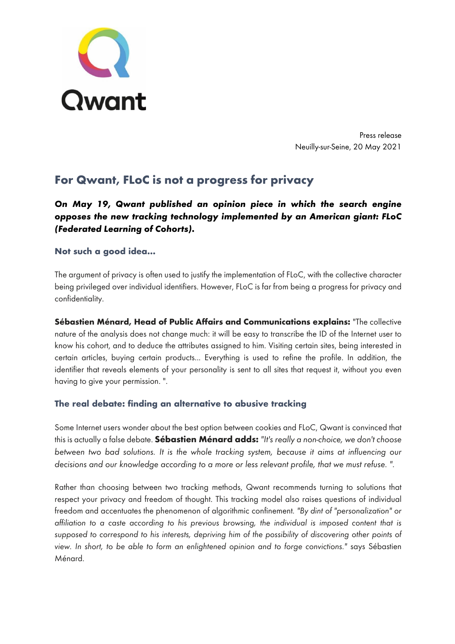

Press release Neuilly-sur-Seine, 20 May 2021

# **For Qwant, FLoC is not a progress for privacy**

## *On May 19, Qwant published an opinion piece in which the search engine opposes the new tracking technology implemented by an American giant: FLoC (Federated Learning of Cohorts).*

## **Not such a good idea…**

The argument of privacy is often used to justify the implementation of FLoC, with the collective character being privileged over individual identifiers. However, FLoC is far from being a progress for privacy and confidentiality.

**Sébastien Ménard, Head of Public Affairs and Communications explains:** "The collective nature of the analysis does not change much: it will be easy to transcribe the ID of the Internet user to know his cohort, and to deduce the attributes assigned to him. Visiting certain sites, being interested in certain articles, buying certain products... Everything is used to refine the profile. In addition, the identifier that reveals elements of your personality is sent to all sites that request it, without you even having to give your permission. ".

## **The real debate: finding an alternative to abusive tracking**

Some Internet users wonder about the best option between cookies and FLoC, Qwant is convinced that this is actually a false debate. **Sébastien Ménard adds:** *"It's really a non-choice, we don't choose between two bad solutions. It is the whole tracking system, because it aims at influencing our decisions and our knowledge according to a more or less relevant profile, that we must refuse. ".*

Rather than choosing between two tracking methods, Qwant recommends turning to solutions that respect your privacy and freedom of thought. This tracking model also raises questions of individual freedom and accentuates the phenomenon of algorithmic confinement*. "By dint of "personalization" or affiliation to a caste according to his previous browsing, the individual is imposed content that is*  supposed to correspond to his interests, depriving him of the possibility of discovering other points of *view. In short, to be able to form an enlightened opinion and to forge convictions."* says Sébastien Ménard.